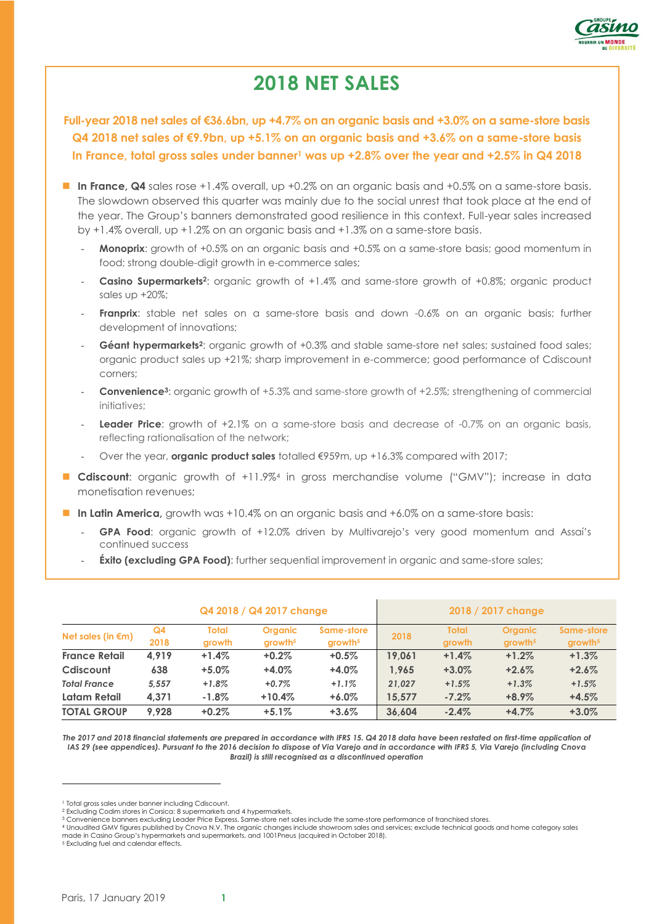

# **2018 NET SALES**

**Full-year 2018 net sales of €36.6bn, up +4.7% on an organic basis and +3.0% on a same-store basis Q4 2018 net sales of €9.9bn, up +5.1% on an organic basis and +3.6% on a same-store basis In France, total gross sales under banner<sup>1</sup> was up +2.8% over the year and +2.5% in Q4 2018**

- In France, Q4 sales rose +1.4% overall, up +0.2% on an organic basis and +0.5% on a same-store basis. The slowdown observed this quarter was mainly due to the social unrest that took place at the end of the year. The Group's banners demonstrated good resilience in this context. Full-year sales increased by +1.4% overall, up +1.2% on an organic basis and +1.3% on a same-store basis.
	- **Monoprix**: growth of +0.5% on an organic basis and +0.5% on a same-store basis; good momentum in food; strong double-digit growth in e-commerce sales;
	- **Casino Supermarkets<sup>2</sup>** : organic growth of +1.4% and same-store growth of +0.8%; organic product sales up +20%;
	- Franprix: stable net sales on a same-store basis and down -0.6% on an organic basis; further development of innovations;
	- **Géant hypermarkets<sup>2</sup>:** organic growth of +0.3% and stable same-store net sales; sustained food sales; organic product sales up +21%; sharp improvement in e-commerce; good performance of Cdiscount corners;
	- **Convenience<sup>3</sup>**: organic growth of +5.3% and same-store growth of +2.5%; strengthening of commercial initiatives;
	- **Leader Price**: growth of +2.1% on a same-store basis and decrease of -0.7% on an organic basis, reflecting rationalisation of the network;
	- Over the year, **organic product sales** totalled €959m, up +16.3% compared with 2017;
- **Cdiscount**: organic growth of +11.9%<sup>4</sup> in gross merchandise volume ("GMV"); increase in data monetisation revenues;
- In Latin America, arowth was +10.4% on an organic basis and +6.0% on a same-store basis:
	- GPA Food: organic growth of +12.0% driven by Multivarejo's very good momentum and Assaí's continued success
	- **Éxito (excluding GPA Food):** further sequential improvement in organic and same-store sales;

| Q4 2018 / Q4 2017 change    |            |                        |                                       |                                   | 2018 / 2017 change |                        |                                       |                                   |
|-----------------------------|------------|------------------------|---------------------------------------|-----------------------------------|--------------------|------------------------|---------------------------------------|-----------------------------------|
| Net sales (in $\epsilon$ m) | Q4<br>2018 | <b>Total</b><br>growth | <b>Organic</b><br>growth <sup>5</sup> | Same-store<br>growth <sup>5</sup> | 2018               | <b>Total</b><br>growth | <b>Organic</b><br>growth <sup>5</sup> | Same-store<br>growth <sup>5</sup> |
| <b>France Retail</b>        | 4.919      | $+1.4%$                | $+0.2%$                               | $+0.5%$                           | 19.061             | $+1.4%$                | $+1.2%$                               | $+1.3%$                           |
| Cdiscount                   | 638        | $+5.0\%$               | $+4.0\%$                              | $+4.0%$                           | 1.965              | $+3.0\%$               | $+2.6%$                               | $+2.6%$                           |
| <b>Total France</b>         | 5.557      | $+1.8%$                | $+0.7%$                               | $+1.1%$                           | 21.027             | $+1.5%$                | $+1.3%$                               | $+1.5%$                           |
| Latam Retail                | 4,371      | $-1.8%$                | $+10.4%$                              | $+6.0\%$                          | 15.577             | $-7.2%$                | $+8.9\%$                              | $+4.5%$                           |
| <b>TOTAL GROUP</b>          | 9.928      | $+0.2%$                | $+5.1%$                               | $+3.6\%$                          | 36,604             | $-2.4%$                | $+4.7%$                               | $+3.0%$                           |

The 2017 and 2018 financial statements are prepared in accordance with IFRS 15. Q4 2018 data have been restated on first-time application of *IAS 29 (see appendices). Pursuant to the 2016 decision to dispose of Via Varejo and in accordance with IFRS 5, Via Varejo (including Cnova Brazil) is still recognised as a discontinued operation*

<sup>1</sup> Total gross sales under banner including Cdiscount.

<sup>2</sup> Excluding Codim stores in Corsica: 8 supermarkets and 4 hypermarkets.

<sup>3</sup> Convenience banners excluding Leader Price Express. Same-store net sales include the same-store performance of franchised stores.

<sup>4</sup> Unaudited GMV figures published by Cnova N.V. The organic changes include showroom sales and services; exclude technical goods and home category sales made in Casino Group's hypermarkets and supermarkets, and 1001Pneus (acquired in October 2018).

<sup>5</sup> Excluding fuel and calendar effects.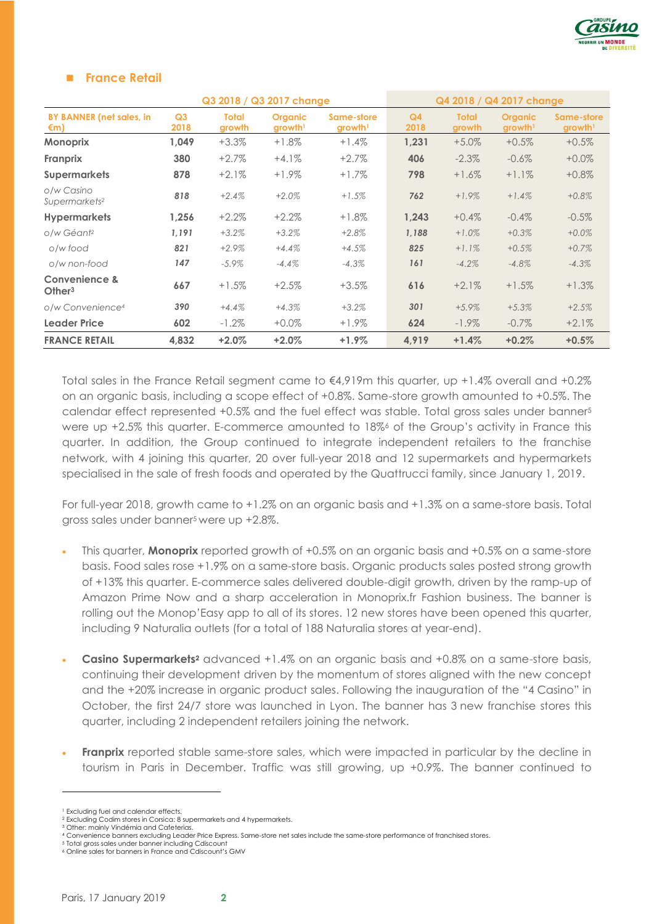

## **France Retail**

| Q3 2018 / Q3 2017 change                |            |                        |                                       |                                   | Q4 2018 / Q4 2017 change |                        |                                       |                                   |
|-----------------------------------------|------------|------------------------|---------------------------------------|-----------------------------------|--------------------------|------------------------|---------------------------------------|-----------------------------------|
| <b>BY BANNER (net sales, in</b><br>€m)  | Q3<br>2018 | <b>Total</b><br>growth | <b>Organic</b><br>growth <sup>1</sup> | Same-store<br>growth <sup>1</sup> | Q <sub>4</sub><br>2018   | <b>Total</b><br>growth | <b>Organic</b><br>growth <sup>1</sup> | Same-store<br>growth <sup>1</sup> |
| <b>Monoprix</b>                         | 1,049      | $+3.3%$                | $+1.8\%$                              | $+1.4%$                           | 1,231                    | $+5.0%$                | $+0.5%$                               | $+0.5%$                           |
| Franprix                                | 380        | $+2.7%$                | $+4.1%$                               | $+2.7%$                           | 406                      | $-2.3%$                | $-0.6\%$                              | $+0.0%$                           |
| <b>Supermarkets</b>                     | 878        | $+2.1%$                | $+1.9\%$                              | $+1.7\%$                          | 798                      | $+1.6%$                | $+1.1%$                               | $+0.8\%$                          |
| o/w Casino<br>Supermarkets <sup>2</sup> | 818        | $+2.4%$                | $+2.0%$                               | $+1.5%$                           | 762                      | $+1.9%$                | $+1.4%$                               | $+0.8\%$                          |
| <b>Hypermarkets</b>                     | 1,256      | $+2.2%$                | $+2.2%$                               | $+1.8\%$                          | 1,243                    | $+0.4%$                | $-0.4\%$                              | $-0.5\%$                          |
| o/w Géant <sup>2</sup>                  | 1,191      | $+3.2%$                | $+3.2%$                               | $+2.8%$                           | 1,188                    | $+1.0%$                | $+0.3%$                               | $+0.0\%$                          |
| o/w food                                | 821        | $+2.9%$                | $+4.4%$                               | $+4.5%$                           | 825                      | $+1.1%$                | $+0.5%$                               | $+0.7%$                           |
| o/w non-food                            | 147        | $-5.9\%$               | $-4.4%$                               | $-4.3%$                           | 161                      | $-4.2%$                | $-4.8%$                               | $-4.3%$                           |
| Convenience &<br>Other <sup>3</sup>     | 667        | $+1.5%$                | $+2.5%$                               | $+3.5%$                           | 616                      | $+2.1%$                | $+1.5%$                               | $+1.3%$                           |
| o/w Convenience <sup>4</sup>            | 390        | $+4.4%$                | $+4.3%$                               | $+3.2%$                           | 301                      | $+5.9%$                | $+5.3%$                               | $+2.5%$                           |
| Leader Price                            | 602        | $-1.2\%$               | $+0.0\%$                              | $+1.9\%$                          | 624                      | $-1.9\%$               | $-0.7\%$                              | $+2.1%$                           |
| <b>FRANCE RETAIL</b>                    | 4.832      | $+2.0%$                | $+2.0%$                               | $+1.9%$                           | 4.919                    | $+1.4%$                | $+0.2%$                               | $+0.5%$                           |

Total sales in the France Retail seament came to €4,919m this quarter, up +1.4% overall and +0.2% on an organic basis, including a scope effect of +0.8%. Same-store growth amounted to +0.5%. The calendar effect represented +0.5% and the fuel effect was stable. Total gross sales under banner<sup>5</sup> were up +2.5% this quarter. E-commerce amounted to 18% of the Group's activity in France this quarter. In addition, the Group continued to integrate independent retailers to the franchise network, with 4 joining this quarter, 20 over full-year 2018 and 12 supermarkets and hypermarkets specialised in the sale of fresh foods and operated by the Quattrucci family, since January 1, 2019.

For full-year 2018, growth came to +1.2% on an organic basis and +1.3% on a same-store basis. Total gross sales under banner<sup>5</sup> were up +2.8%.

- This quarter, **Monoprix** reported growth of +0.5% on an organic basis and +0.5% on a same-store basis. Food sales rose +1.9% on a same-store basis. Organic products sales posted strong growth of +13% this quarter. E-commerce sales delivered double-digit growth, driven by the ramp-up of Amazon Prime Now and a sharp acceleration in Monoprix.fr Fashion business. The banner is rolling out the Monop'Easy app to all of its stores. 12 new stores have been opened this quarter, including 9 Naturalia outlets (for a total of 188 Naturalia stores at year-end).
- **Casino Supermarkets<sup>2</sup>** advanced +1.4% on an organic basis and +0.8% on a same-store basis, continuing their development driven by the momentum of stores aligned with the new concept and the +20% increase in organic product sales. Following the inauguration of the "4 Casino" in October, the first 24/7 store was launched in Lyon. The banner has 3 new franchise stores this quarter, including 2 independent retailers joining the network.
- **Franprix** reported stable same-store sales, which were impacted in particular by the decline in tourism in Paris in December. Traffic was still growing, up +0.9%. The banner continued to

<sup>1</sup> Excluding fuel and calendar effects.

<sup>2</sup> Excluding Codim stores in Corsica: 8 supermarkets and 4 hypermarkets. <sup>3</sup> Other: mainly Vindémia and Cafeterias.

<sup>4</sup> Convenience banners excluding Leader Price Express. Same-store net sales include the same-store performance of franchised stores.

<sup>5</sup> Total gross sales under banner including Cdiscount <sup>6</sup> Online sales for banners in France and Cdiscount's GMV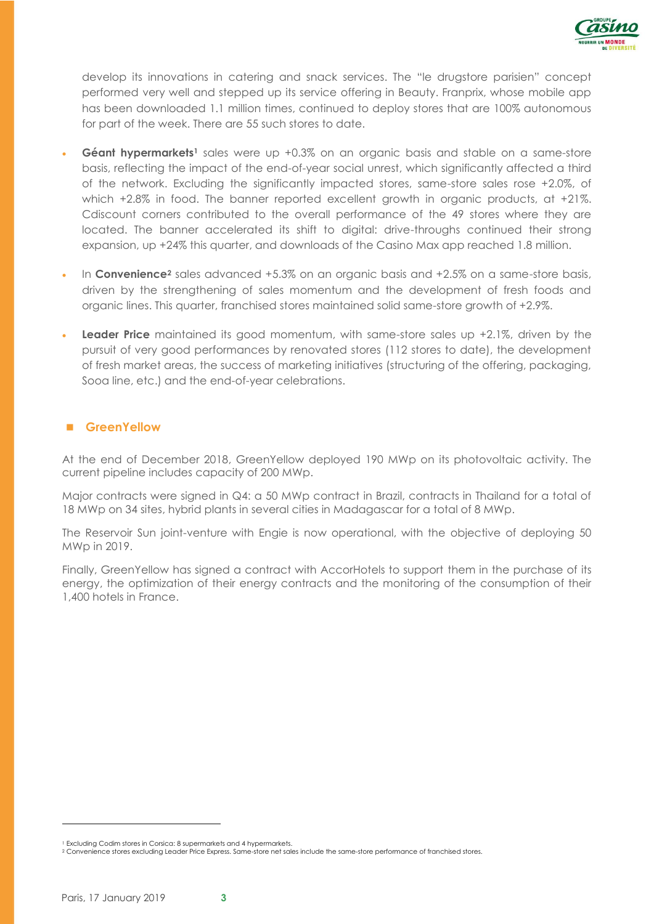

develop its innovations in catering and snack services. The "le drugstore parisien" concept performed very well and stepped up its service offering in Beauty. Franprix, whose mobile app has been downloaded 1.1 million times, continued to deploy stores that are 100% autonomous for part of the week. There are 55 such stores to date.

- **Géant hypermarkets<sup>1</sup>** sales were up +0.3% on an organic basis and stable on a same-store basis, reflecting the impact of the end-of-year social unrest, which significantly affected a third of the network. Excluding the significantly impacted stores, same-store sales rose +2.0%, of which +2.8% in food. The banner reported excellent growth in organic products, at +21%. Cdiscount corners contributed to the overall performance of the 49 stores where they are located. The banner accelerated its shift to digital: drive-throughs continued their strong expansion, up +24% this quarter, and downloads of the Casino Max app reached 1.8 million.
- In **Convenience<sup>2</sup>** sales advanced +5.3% on an organic basis and +2.5% on a same-store basis, driven by the strengthening of sales momentum and the development of fresh foods and organic lines. This quarter, franchised stores maintained solid same-store growth of +2.9%.
- **Leader Price** maintained its good momentum, with same-store sales up +2.1%, driven by the pursuit of very good performances by renovated stores (112 stores to date), the development of fresh market areas, the success of marketing initiatives (structuring of the offering, packaging, Sooa line, etc.) and the end-of-year celebrations.

# **GreenYellow**

At the end of December 2018, GreenYellow deployed 190 MWp on its photovoltaic activity. The current pipeline includes capacity of 200 MWp.

Major contracts were signed in Q4: a 50 MWp contract in Brazil, contracts in Thailand for a total of 18 MWp on 34 sites, hybrid plants in several cities in Madagascar for a total of 8 MWp.

The Reservoir Sun joint-venture with Engie is now operational, with the objective of deploying 50 MWp in 2019.

Finally, GreenYellow has signed a contract with AccorHotels to support them in the purchase of its energy, the optimization of their energy contracts and the monitoring of the consumption of their 1,400 hotels in France.

<sup>1</sup> Excluding Codim stores in Corsica: 8 supermarkets and 4 hypermarkets.

<sup>&</sup>lt;sup>2</sup> Convenience stores excluding Leader Price Express. Same-store net sales include the same-store performance of franchised stores.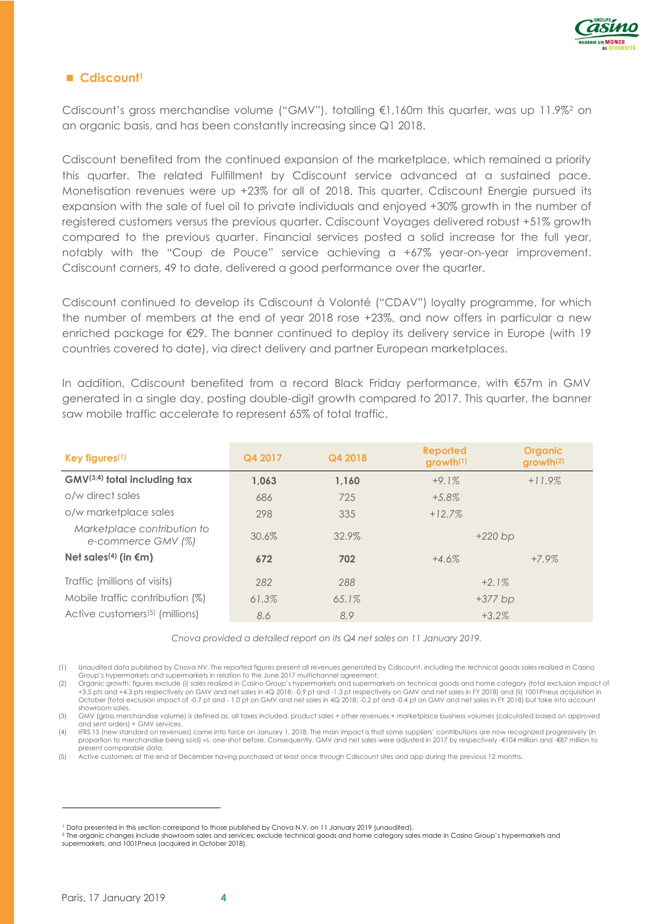

## **Cdiscount<sup>1</sup>**

Cdiscount's gross merchandise volume ("GMV"), totalling €1,160m this quarter, was up 11.9%<sup>2</sup> on an organic basis, and has been constantly increasing since Q1 2018.

Cdiscount benefited from the continued expansion of the marketplace, which remained a priority this quarter. The related Fulfillment by Cdiscount service advanced at a sustained pace. Monetisation revenues were up +23% for all of 2018. This quarter, Cdiscount Energie pursued its expansion with the sale of fuel oil to private individuals and enjoyed +30% growth in the number of registered customers versus the previous quarter. Cdiscount Voyages delivered robust +51% growth compared to the previous quarter. Financial services posted a solid increase for the full year, notably with the "Coup de Pouce" service achieving a +67% year-on-year improvement. Cdiscount corners, 49 to date, delivered a good performance over the quarter.

Cdiscount continued to develop its Cdiscount à Volonté ("CDAV") loyalty programme, for which the number of members at the end of year 2018 rose +23%, and now offers in particular a new enriched package for €29. The banner continued to deploy its delivery service in Europe (with 19 countries covered to date), via direct delivery and partner European marketplaces.

In addition, Cdiscount benefited from a record Black Friday performance, with €57m in GMV generated in a single day, posting double-digit growth compared to 2017. This quarter, the banner saw mobile traffic accelerate to represent 65% of total traffic.

| Key figures $(1)$                                 | Q4 2017 | Q4 2018 | <b>Reported</b><br>growth <sup>(1)</sup> | <b>Organic</b><br>growth <sup>(2)</sup> |
|---------------------------------------------------|---------|---------|------------------------------------------|-----------------------------------------|
| $GMV^{(3;4)}$ total including tax                 | 1.063   | 1,160   | $+9.1%$                                  | $+11.9\%$                               |
| o/w direct sales                                  | 686     | 725     | $+5.8\%$                                 |                                         |
| o/w marketplace sales                             | 298     | 335     | $+12.7%$                                 |                                         |
| Marketplace contribution to<br>e-commerce GMV (%) | 30.6%   | 32.9%   | $+220$ bp                                |                                         |
| Net sales <sup>(4)</sup> (in $\epsilon$ m)        | 672     | 702     | $+4.6%$                                  | $+7.9%$                                 |
| Traffic (millions of visits)                      | 282     | 288     | $+2.1%$                                  |                                         |
| Mobile traffic contribution (%)                   | 61.3%   | 65.1%   | $+377$ bp                                |                                         |
| Active customers <sup>(5)</sup> (millions)        | 8.6     | 8.9     | $+3.2%$                                  |                                         |

*Cnova provided a detailed report on its Q4 net sales on 11 January 2019.*

(1) Unaudited data published by Cnova NV. The reported figures present all revenues generated by Cdiscount, including the technical goods sales realized in Casino Group's hypermarkets and supermarkets in relation to the June 2017 multichannel agreement.

(2) Organic growth: figures exclude (i) sales realized in Casino Group's hypermarkets and supermarkets on technical goods and home category (total exclusion impact of +3.5 pts and +4.3 pts respectively on GMV and net sales in 4Q 2018; -0.9 pt and -1.3 pt respectively on GMV and net sales in FY 2018) and (ii) 1001Pneus acquisition in October (total exclusion impact of -0.7 pt and - 1.0 pt on GMV and net sales in 4Q 2018; -0.2 pt and -0.4 pt on GMV and net sales in FY 2018) but take into account showroom sales.

(3) GMV (gross merchandise volume) is defined as, all taxes included, product sales + other revenues + marketplace business volumes (calculated based on approved and sent orders) + GMV services.

(4) IFRS 15 (new standard on revenues) came into force on January 1, 2018. The main impact is that some suppliers' contributions are now recognized progressively (in proportion to merchandise being sold) vs. one-shot before. Consequently, GMV and net sales were adjusted in 2017 by respectively -€104 million and -€87 million to present comparable data.

(5) Active customers at the end of December having purchased at least once through Cdiscount sites and app during the previous 12 months.

<sup>1</sup> Data presented in this section correspond to those published by Cnova N.V. on 11 January 2019 (unaudited).

<sup>2</sup> The organic changes include showroom sales and services; exclude technical goods and home category sales made in Casino Group's hypermarkets and supermarkets, and 1001Pneus (acquired in October 2018).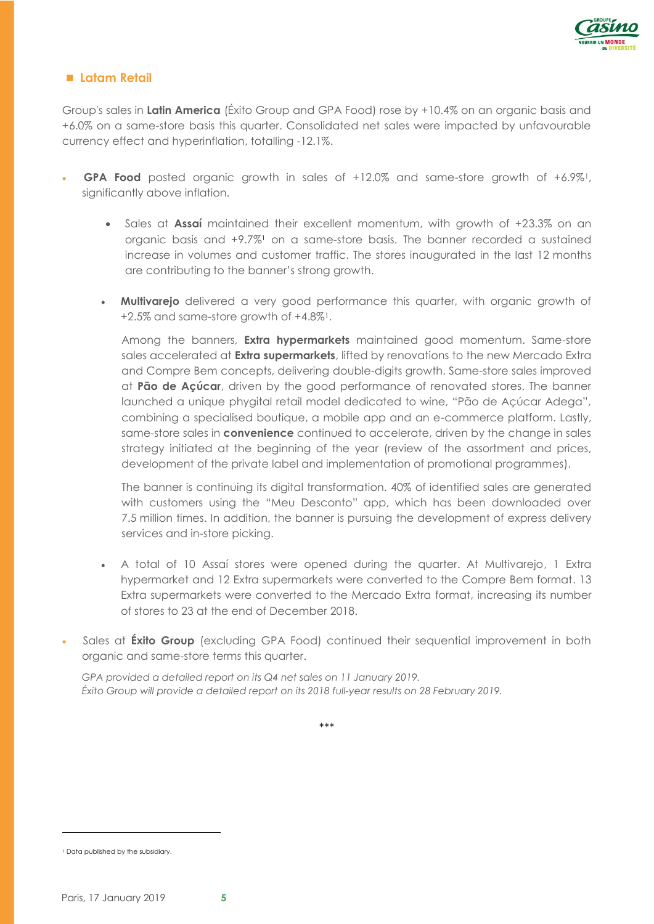

## **Latam Retail**

Group's sales in **Latin America** (Éxito Group and GPA Food) rose by +10.4% on an organic basis and +6.0% on a same-store basis this quarter. Consolidated net sales were impacted by unfavourable currency effect and hyperinflation, totalling -12.1%.

- **GPA Food** posted organic growth in sales of +12.0% and same-store growth of +6.9%<sup>1</sup>, significantly above inflation.
	- Sales at **Assaí** maintained their excellent momentum, with growth of +23.3% on an organic basis and +9.7%<sup>1</sup> on a same-store basis. The banner recorded a sustained increase in volumes and customer traffic. The stores inaugurated in the last 12 months are contributing to the banner's strong growth.
	- **Multivarejo** delivered a very good performance this quarter, with organic growth of +2.5% and same-store growth of +4.8%1.

Among the banners, **Extra hypermarkets** maintained good momentum. Same-store sales accelerated at **Extra supermarkets**, lifted by renovations to the new Mercado Extra and Compre Bem concepts, delivering double-digits growth. Same-store sales improved at **Pão de Açúcar**, driven by the good performance of renovated stores. The banner launched a unique phygital retail model dedicated to wine, "Pão de Açúcar Adega", combining a specialised boutique, a mobile app and an e-commerce platform. Lastly, same-store sales in **convenience** continued to accelerate, driven by the change in sales strategy initiated at the beginning of the year (review of the assortment and prices, development of the private label and implementation of promotional programmes).

The banner is continuing its digital transformation. 40% of identified sales are generated with customers using the "Meu Desconto" app, which has been downloaded over 7.5 million times. In addition, the banner is pursuing the development of express delivery services and in-store picking.

- A total of 10 Assaí stores were opened during the quarter. At Multivarejo, 1 Extra hypermarket and 12 Extra supermarkets were converted to the Compre Bem format. 13 Extra supermarkets were converted to the Mercado Extra format, increasing its number of stores to 23 at the end of December 2018.
- Sales at **Éxito Group** (excluding GPA Food) continued their sequential improvement in both organic and same-store terms this quarter.

*GPA provided a detailed report on its Q4 net sales on 11 January 2019. Éxito Group will provide a detailed report on its 2018 full-year results on 28 February 2019.*

\*\*\*

<sup>1</sup> Data published by the subsidiary.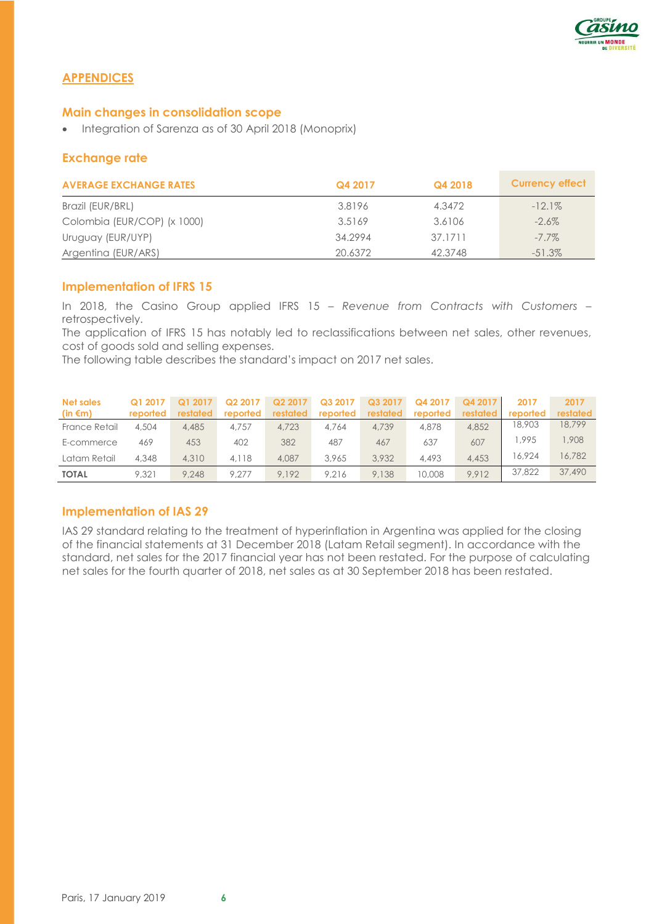

# **APPENDICES**

#### **Main changes in consolidation scope**

• Integration of Sarenza as of 30 April 2018 (Monoprix)

## **Exchange rate**

| <b>AVERAGE EXCHANGE RATES</b> | Q4 2017 | Q4 2018 | <b>Currency effect</b> |
|-------------------------------|---------|---------|------------------------|
| Brazil (EUR/BRL)              | 3.8196  | 4.3472  | $-12.1\%$              |
| Colombia (EUR/COP) (x 1000)   | 3.5169  | 3.6106  | $-2.6\%$               |
| Uruguay (EUR/UYP)             | 34.2994 | 37.1711 | $-7.7\%$               |
| Argentina (EUR/ARS)           | 20.6372 | 42.3748 | $-51.3\%$              |

#### **Implementation of IFRS 15**

In 2018, the Casino Group applied IFRS 15 – *Revenue from Contracts with Customers* – retrospectively.

The application of IFRS 15 has notably led to reclassifications between net sales, other revenues, cost of goods sold and selling expenses.

The following table describes the standard's impact on 2017 net sales.

| <b>Net sales</b><br>(in €m) | Q1 2017<br>reported | Q1 2017<br>restated | Q2 2017<br>reported | Q2 2017<br>restated | Q3 2017<br>reported | Q3 2017<br>restated | Q4 2017<br>reported | Q4 2017<br><b>restated</b> | 2017<br>reported | 2017<br>restated |
|-----------------------------|---------------------|---------------------|---------------------|---------------------|---------------------|---------------------|---------------------|----------------------------|------------------|------------------|
| France Retail               | 4,504               | 4,485               | 4.757               | 4.723               | 4.764               | 4,739               | 4,878               | 4,852                      | 18,903           | 18,799           |
| E-commerce                  | 469                 | 453                 | 402                 | 382                 | 487                 | 467                 | 637                 | 607                        | 1.995            | 908.             |
| Latam Retail                | 4,348               | 4,310               | 4,118               | 4,087               | 3.965               | 3.932               | 4.493               | 4,453                      | 16.924           | 16.782           |
| <b>TOTAL</b>                | 9.321               | 9.248               | 9.277               | 9.192               | 9.216               | 9.138               | 10,008              | 9.912                      | 37,822           | 37,490           |

## **Implementation of IAS 29**

IAS 29 standard relating to the treatment of hyperinflation in Argentina was applied for the closing of the financial statements at 31 December 2018 (Latam Retail segment). In accordance with the standard, net sales for the 2017 financial year has not been restated. For the purpose of calculating net sales for the fourth quarter of 2018, net sales as at 30 September 2018 has been restated.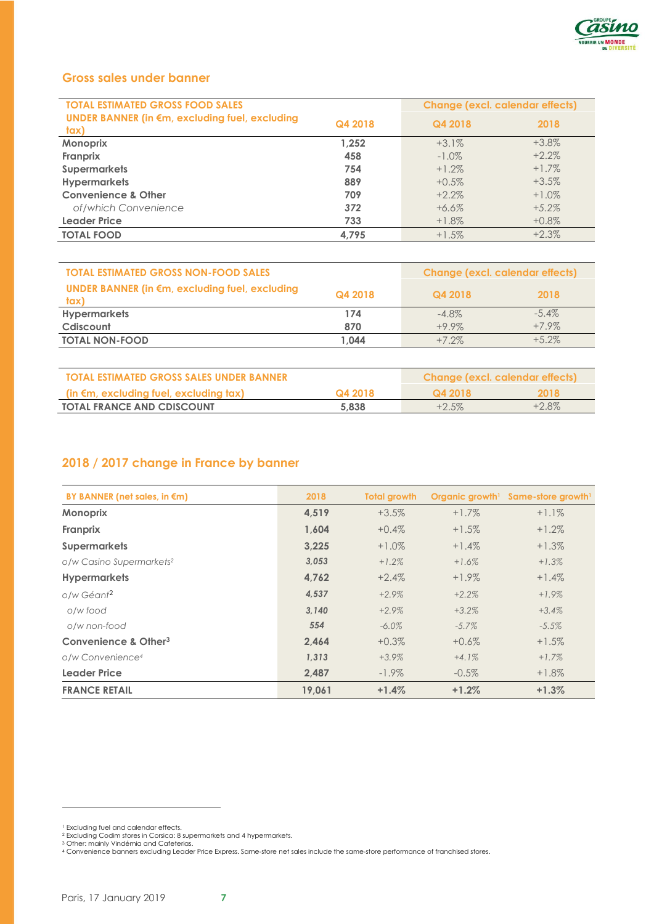

## **Gross sales under banner**

| <b>TOTAL ESTIMATED GROSS FOOD SALES</b>                |         |          | <b>Change (excl. calendar effects)</b> |  |  |
|--------------------------------------------------------|---------|----------|----------------------------------------|--|--|
| UNDER BANNER (in €m, excluding fuel, excluding<br>tax) | Q4 2018 | Q4 2018  | 2018                                   |  |  |
| <b>Monoprix</b>                                        | 1.252   | $+3.1%$  | $+3.8\%$                               |  |  |
| Franprix                                               | 458     | $-1.0\%$ | $+2.2\%$                               |  |  |
| <b>Supermarkets</b>                                    | 754     | $+1.2\%$ | $+1.7\%$                               |  |  |
| <b>Hypermarkets</b>                                    | 889     | $+0.5%$  | $+3.5%$                                |  |  |
| <b>Convenience &amp; Other</b>                         | 709     | $+2.2\%$ | $+1.0\%$                               |  |  |
| of/which Convenience                                   | 372     | $+6.6%$  | $+5.2%$                                |  |  |
| <b>Leader Price</b>                                    | 733     | $+1.8\%$ | $+0.8\%$                               |  |  |
| <b>TOTAL FOOD</b>                                      | 4.795   | $+1.5%$  | $+2.3%$                                |  |  |

| <b>TOTAL ESTIMATED GROSS NON-FOOD SALES</b>            | <b>Change (excl. calendar effects)</b> |          |          |
|--------------------------------------------------------|----------------------------------------|----------|----------|
| UNDER BANNER (in €m, excluding fuel, excluding<br>tax) | Q4 2018                                | Q4 2018  | 2018     |
| <b>Hypermarkets</b>                                    | 174                                    | $-4.8\%$ | $-5.4\%$ |
| Cdiscount                                              | 870                                    | $+9.9\%$ | $+7.9\%$ |
| <b>TOTAL NON-FOOD</b>                                  | 1.044                                  | $+7.2\%$ | $+5.2\%$ |

| <b>TOTAL ESTIMATED GROSS SALES UNDER BANNER</b>            | Change (excl. calendar effects) |         |          |
|------------------------------------------------------------|---------------------------------|---------|----------|
| (in $\epsilon$ m, excluding fuel, excluding $\text{tax}$ ) | Q4 2018                         | G4 2018 | 2018     |
| <b>TOTAL FRANCE AND CDISCOUNT</b>                          | 5.838                           | $+2.5%$ | $+2.8\%$ |

# **2018 / 2017 change in France by banner**

| BY BANNER (net sales, in €m)         | 2018   | <b>Total growth</b> |          | Organic growth <sup>1</sup> Same-store growth <sup>1</sup> |
|--------------------------------------|--------|---------------------|----------|------------------------------------------------------------|
| <b>Monoprix</b>                      | 4,519  | $+3.5%$             | $+1.7%$  | $+1.1%$                                                    |
| Franprix                             | 1,604  | $+0.4%$             | $+1.5%$  | $+1.2\%$                                                   |
| <b>Supermarkets</b>                  | 3.225  | $+1.0\%$            | $+1.4%$  | $+1.3\%$                                                   |
| o/w Casino Supermarkets <sup>2</sup> | 3,053  | $+1.2%$             | $+1.6%$  | $+1.3%$                                                    |
| <b>Hypermarkets</b>                  | 4.762  | $+2.4%$             | $+1.9\%$ | $+1.4%$                                                    |
| o/w Géant <sup>2</sup>               | 4,537  | $+2.9%$             | $+2.2%$  | $+1.9%$                                                    |
| o/w food                             | 3,140  | $+2.9%$             | $+3.2%$  | $+3.4%$                                                    |
| o/w non-food                         | 554    | $-6.0\%$            | $-5.7\%$ | $-5.5%$                                                    |
| Convenience & Other <sup>3</sup>     | 2.464  | $+0.3%$             | $+0.6%$  | $+1.5%$                                                    |
| o/w Convenience4                     | 1,313  | $+3.9%$             | $+4.1%$  | $+1.7%$                                                    |
| <b>Leader Price</b>                  | 2,487  | $-1.9\%$            | $-0.5\%$ | $+1.8\%$                                                   |
| <b>FRANCE RETAIL</b>                 | 19.061 | $+1.4%$             | $+1.2%$  | $+1.3%$                                                    |

<sup>&</sup>lt;sup>1</sup> Excluding fuel and calendar effects.<br><sup>2</sup> Excluding Codim stores in Consica: 8 supermarkets and 4 hypermarkets.<br><sup>3</sup> Other: mainly Vindémia and Cafeterias.<br><sup>4</sup> Convenience banners excluding Leader Price Express. Same-sto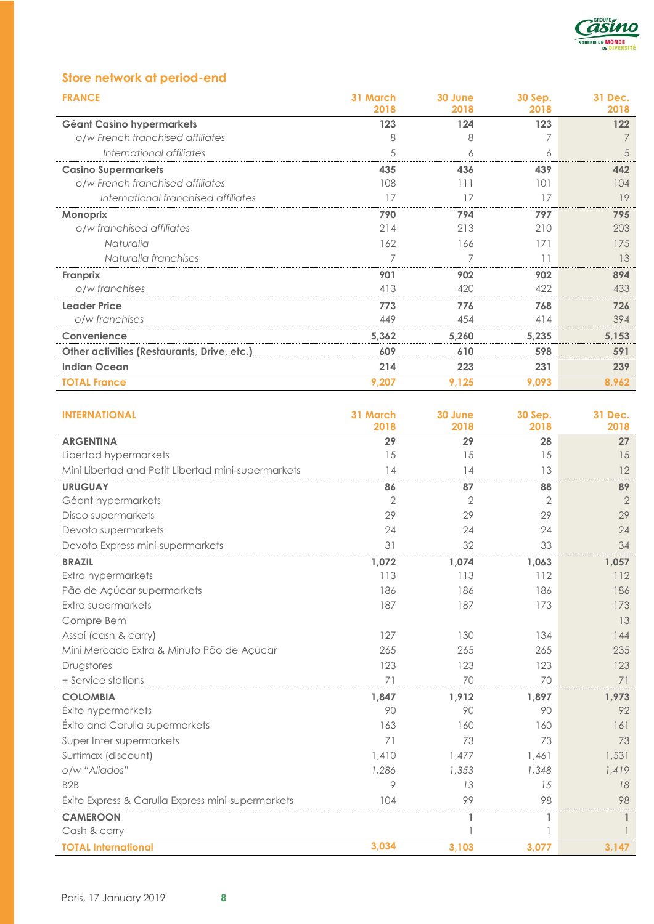

# **Store network at period-end**

| <b>FRANCE</b>                               | 31 March<br>2018 | 30 June<br>2018 | 30 Sep.<br>2018 | 31 Dec.<br>2018 |
|---------------------------------------------|------------------|-----------------|-----------------|-----------------|
| <b>Géant Casino hypermarkets</b>            | 123              | 124             | 123             | 122             |
| o/w French franchised affiliates            | 8                | 8               |                 | 7               |
| International affiliates                    | 5                | 6               | 6               | 5               |
| <b>Casino Supermarkets</b>                  | 435              | 436             | 439             | 442             |
| o/w French franchised affiliates            | 108              | 111             | 101             | 104             |
| International franchised affiliates         | 17               | 17              | 17              | 19              |
| <b>Monoprix</b>                             | 790              | 794             | 797             | 795             |
| o/w franchised affiliates                   | 214              | 213             | 210             | 203             |
| Naturalia                                   | 162              | 166             | 171             | 175             |
| Naturalia franchises                        | 7                | 7               | 11              | 13              |
| Franprix                                    | 901              | 902             | 902             | 894             |
| o/w franchises                              | 413              | 420             | 422             | 433             |
| <b>Leader Price</b>                         | 773              | 776             | 768             | 726             |
| o/w franchises                              | 449              | 454             | 414             | 394             |
| Convenience                                 | 5,362            | 5,260           | 5,235           | 5,153           |
| Other activities (Restaurants, Drive, etc.) | 609              | 610             | 598             | 591             |
| <b>Indian Ocean</b>                         | 214              | 223             | 231             | 239             |
| <b>TOTAL France</b>                         | 9,207            | 9,125           | 9,093           | 8,962           |

| <b>INTERNATIONAL</b>                               | 31 March<br>2018 | 30 June<br>2018 | 30 Sep.<br>2018 | 31 Dec.<br>2018 |
|----------------------------------------------------|------------------|-----------------|-----------------|-----------------|
| <b>ARGENTINA</b>                                   | 29               | 29              | 28              | 27              |
| Libertad hypermarkets                              | 15               | 15              | 15              | 15              |
| Mini Libertad and Petit Libertad mini-supermarkets | 14               | 14              | 13              | 12              |
| <b>URUGUAY</b>                                     | 86               | 87              | 88              | 89              |
| Géant hypermarkets                                 | $\overline{2}$   | $\overline{2}$  | $\overline{2}$  | $\overline{2}$  |
| Disco supermarkets                                 | 29               | 29              | 29              | 29              |
| Devoto supermarkets                                | 24               | 24              | 24              | 24              |
| Devoto Express mini-supermarkets                   | 31               | 32              | 33              | 34              |
| <b>BRAZIL</b>                                      | 1,072            | 1,074           | 1,063           | 1,057           |
| Extra hypermarkets                                 | 113              | 113             | 112             | 112             |
| Pão de Açúcar supermarkets                         | 186              | 186             | 186             | 186             |
| Extra supermarkets                                 | 187              | 187             | 173             | 173             |
| Compre Bem                                         |                  |                 |                 | 13              |
| Assaí (cash & carry)                               | 127              | 130             | 134             | 144             |
| Mini Mercado Extra & Minuto Pão de Açúcar          | 265              | 265             | 265             | 235             |
| Drugstores                                         | 123              | 123             | 123             | 123             |
| + Service stations                                 | 71               | 70              | 70              | 71              |
| <b>COLOMBIA</b>                                    | 1,847            | 1,912           | 1,897           | 1,973           |
| Éxito hypermarkets                                 | 90               | 90              | 90              | 92              |
| Éxito and Carulla supermarkets                     | 163              | 160             | 160             | 161             |
| Super Inter supermarkets                           | 71               | 73              | 73              | 73              |
| Surtimax (discount)                                | 1,410            | 1,477           | 1,461           | 1,531           |
| o/w "Aliados"                                      | 1,286            | 1,353           | 1,348           | 1,419           |
| B <sub>2</sub> B                                   | 9                | 13              | 15              | 18              |
| Éxito Express & Carulla Express mini-supermarkets  | 104              | 99              | 98              | 98              |
| <b>CAMEROON</b>                                    |                  | $\mathbf{1}$    | $\mathbf{1}$    | $\mathbf{1}$    |
| Cash & carry                                       |                  |                 |                 |                 |
| <b>TOTAL International</b>                         | 3,034            | 3,103           | 3,077           | 3,147           |